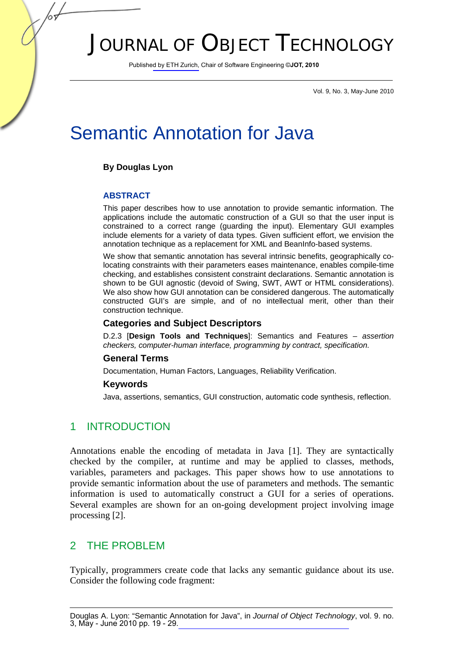# JOURNAL OF OBJECT TECHNOLOGY

Published by ETH Zurich, Chair of Software Engineering ©**JOT, 2010**

Vol. 9, No. 3, May-June 2010

# Semantic Annotation for Java

### **By Douglas Lyon**

#### **ABSTRACT**

This paper describes how to use annotation to provide semantic information. The applications include the automatic construction of a GUI so that the user input is constrained to a correct range (guarding the input). Elementary GUI examples include elements for a variety of data types. Given sufficient effort, we envision the annotation technique as a replacement for XML and BeanInfo-based systems.

We show that semantic annotation has several intrinsic benefits, geographically colocating constraints with their parameters eases maintenance, enables compile-time checking, and establishes consistent constraint declarations. Semantic annotation is shown to be GUI agnostic (devoid of Swing, SWT, AWT or HTML considerations). We also show how GUI annotation can be considered dangerous. The automatically constructed GUI's are simple, and of no intellectual merit, other than their construction technique.

#### **Categories and Subject Descriptors**

D.2.3 [**Design Tools and Techniques**]: Semantics and Features – *assertion checkers, computer-human interface, programming by contract, specification.*

#### **General Terms**

Documentation, Human Factors, Languages, Reliability Verification.

#### **Keywords**

Java, assertions, semantics, GUI construction, automatic code synthesis, reflection.

## 1 INTRODUCTION

Annotations enable the encoding of metadata in Java [1]. They are syntactically checked by the compiler, at runtime and may be applied to classes, methods, variables, parameters and packages. This paper shows how to use annotations to provide semantic information about the use of parameters and methods. The semantic information is used to automatically construct a GUI for a series of operations. Several examples are shown for an on-going development project involving image processing [2].

## 2 THE PROBLEM

Typically, programmers create code that lacks any semantic guidance about its use. Consider the following code fragment: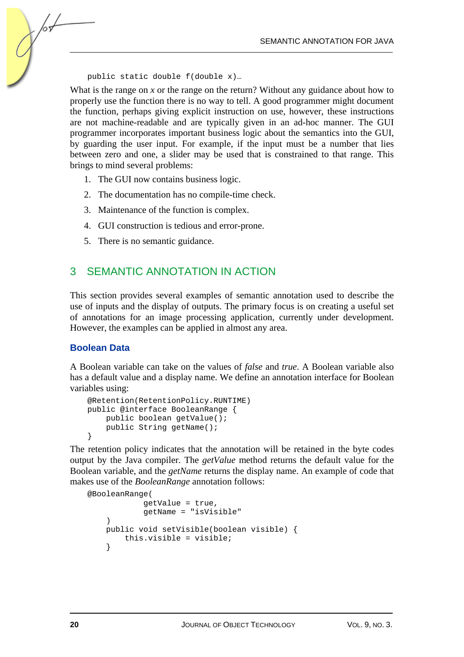public static double f(double x)…

What is the range on *x* or the range on the return? Without any guidance about how to properly use the function there is no way to tell. A good programmer might document the function, perhaps giving explicit instruction on use, however, these instructions are not machine-readable and are typically given in an ad-hoc manner. The GUI programmer incorporates important business logic about the semantics into the GUI, by guarding the user input. For example, if the input must be a number that lies between zero and one, a slider may be used that is constrained to that range. This brings to mind several problems:

- 1. The GUI now contains business logic.
- 2. The documentation has no compile-time check.
- 3. Maintenance of the function is complex.
- 4. GUI construction is tedious and error-prone.
- 5. There is no semantic guidance.

## 3 SEMANTIC ANNOTATION IN ACTION

This section provides several examples of semantic annotation used to describe the use of inputs and the display of outputs. The primary focus is on creating a useful set of annotations for an image processing application, currently under development. However, the examples can be applied in almost any area.

#### **Boolean Data**

/оъ

A Boolean variable can take on the values of *false* and *true*. A Boolean variable also has a default value and a display name. We define an annotation interface for Boolean variables using:

```
@Retention(RetentionPolicy.RUNTIME) 
public @interface BooleanRange { 
     public boolean getValue(); 
     public String getName(); 
}
```
The retention policy indicates that the annotation will be retained in the byte codes output by the Java compiler. The *getValue* method returns the default value for the Boolean variable, and the *getName* returns the display name. An example of code that makes use of the *BooleanRange* annotation follows:

```
@BooleanRange( 
               getValue = true, 
               getName = "isVisible" 
    \lambda public void setVisible(boolean visible) { 
          this.visible = visible; 
     }
```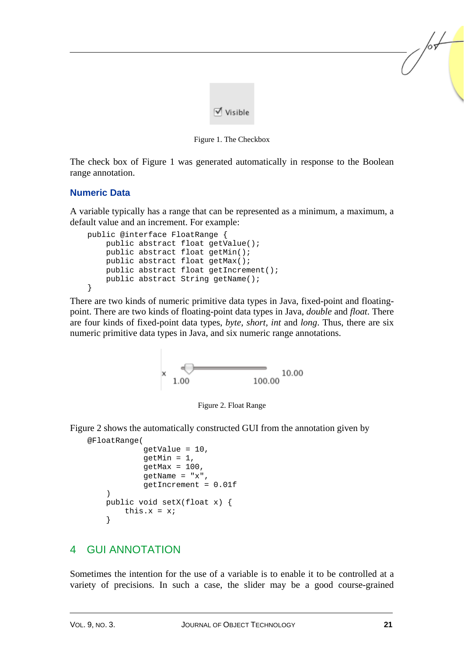

Figure 1. The Checkbox

The check box of Figure 1 was generated automatically in response to the Boolean range annotation.

## **Numeric Data**

A variable typically has a range that can be represented as a minimum, a maximum, a default value and an increment. For example:

```
public @interface FloatRange { 
     public abstract float getValue(); 
     public abstract float getMin(); 
     public abstract float getMax(); 
     public abstract float getIncrement(); 
     public abstract String getName(); 
}
```
There are two kinds of numeric primitive data types in Java, fixed-point and floatingpoint. There are two kinds of floating-point data types in Java, *double* and *float*. There are four kinds of fixed-point data types, *byte, short, int* and *long*. Thus, there are six numeric primitive data types in Java, and six numeric range annotations.





Figure 2 shows the automatically constructed GUI from the annotation given by

```
@FloatRange( 
                qetValue = 10,
                aetMin = 1.
                qetMax = 100.
                qetName = "x",
                 getIncrement = 0.01f 
\left( \begin{array}{c} \end{array} \right) public void setX(float x) { 
          this.x = x;
      }
```
## 4 GUI ANNOTATION

Sometimes the intention for the use of a variable is to enable it to be controlled at a variety of precisions. In such a case, the slider may be a good course-grained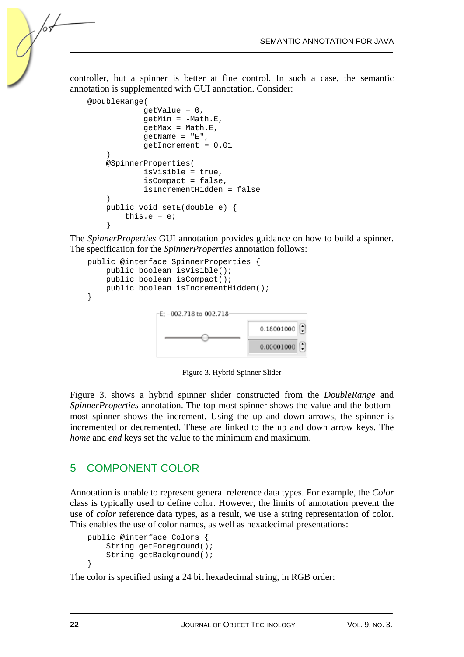controller, but a spinner is better at fine control. In such a case, the semantic annotation is supplemented with GUI annotation. Consider:

```
@DoubleRange( 
              getValue = 0, 
             getMin = -Math.E, getMax = Math.E, 
             getName = "E", getIncrement = 0.01 
 ) 
     @SpinnerProperties( 
              isVisible = true, 
              isCompact = false, 
              isIncrementHidden = false 
     ) 
     public void setE(double e) { 
         this.e = e; 
     }
```
The *SpinnerProperties* GUI annotation provides guidance on how to build a spinner. The specification for the *SpinnerProperties* annotation follows:

```
public @interface SpinnerProperties { 
     public boolean isVisible(); 
     public boolean isCompact(); 
    public boolean isIncrementHidden();
} 
                 E: -002.718 to 002.718-
                                          0.18001000
                                          0.00001000
```
Figure 3. Hybrid Spinner Slider

Figure 3. shows a hybrid spinner slider constructed from the *DoubleRange* and *SpinnerProperties* annotation. The top-most spinner shows the value and the bottommost spinner shows the increment. Using the up and down arrows, the spinner is incremented or decremented. These are linked to the up and down arrow keys. The *home* and *end* keys set the value to the minimum and maximum.

## 5 COMPONENT COLOR

Annotation is unable to represent general reference data types. For example, the *Color* class is typically used to define color. However, the limits of annotation prevent the use of *color* reference data types, as a result, we use a string representation of color. This enables the use of color names, as well as hexadecimal presentations:

```
public @interface Colors { 
     String getForeground(); 
     String getBackground(); 
}
```
The color is specified using a 24 bit hexadecimal string, in RGB order: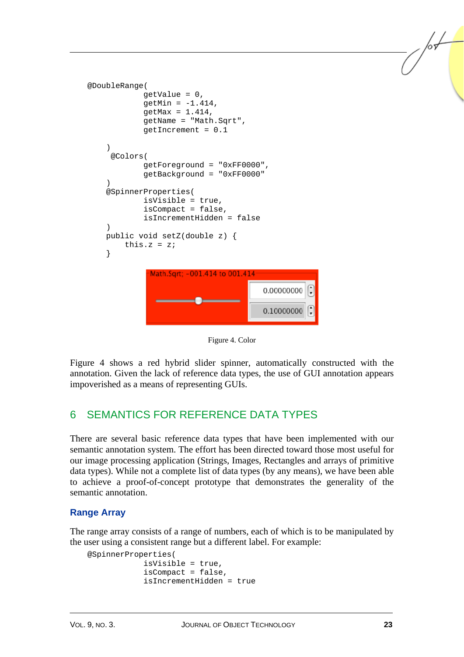```
@DoubleRange( 
                getValue = 0, 
                qetMin = -1.414,
                getMax = 1.414,
                 getName = "Math.Sqrt", 
                 getIncrement = 0.1 
      ) 
       @Colors( 
                 getForeground = "0xFF0000", 
                 getBackground = "0xFF0000" 
\left( \begin{array}{c} \end{array} \right) @SpinnerProperties( 
                 isVisible = true, 
                 isCompact = false, 
                 isIncrementHidden = false 
\left( \begin{array}{c} \end{array} \right) public void setZ(double z) { 
          this.z = zi } 
                  Math.Sart: -001.414 to 001.414
                                                   0.00000000
                                                   0.10000000
```
Figure 4. Color

Figure 4 shows a red hybrid slider spinner, automatically constructed with the annotation. Given the lack of reference data types, the use of GUI annotation appears impoverished as a means of representing GUIs.

## 6 SEMANTICS FOR REFERENCE DATA TYPES

There are several basic reference data types that have been implemented with our semantic annotation system. The effort has been directed toward those most useful for our image processing application (Strings, Images, Rectangles and arrays of primitive data types). While not a complete list of data types (by any means), we have been able to achieve a proof-of-concept prototype that demonstrates the generality of the semantic annotation.

### **Range Array**

The range array consists of a range of numbers, each of which is to be manipulated by the user using a consistent range but a different label. For example:

```
@SpinnerProperties( 
              isVisible = true, 
              isCompact = false, 
              isIncrementHidden = true
```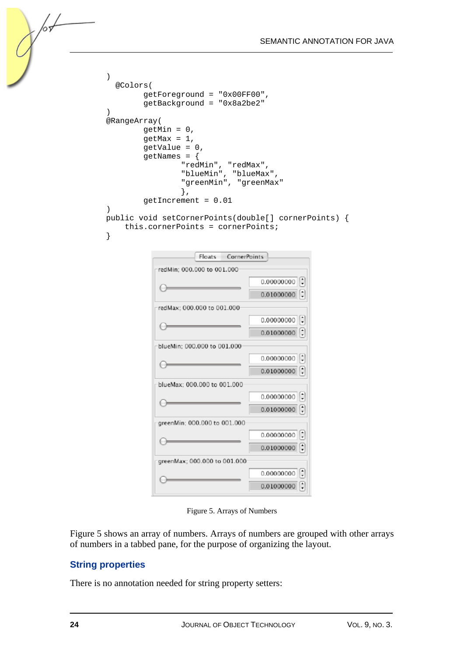```
 ) 
      @Colors( 
            getForeground = "0x00FF00", 
            getBackground = "0x8a2be2" 
 ) 
    @RangeArray( 
           getMin = 0, getMax = 1, 
            getValue = 0, 
            getNames = { 
 "redMin", "redMax", 
 "blueMin", "blueMax", 
 "greenMin", "greenMax" 
 }, 
            getIncrement = 0.01 
\left( \begin{array}{c} \end{array} \right) public void setCornerPoints(double[] cornerPoints) { 
        this.cornerPoints = cornerPoints; 
    }
```

| Floats<br>CornerPoints       |                                      |
|------------------------------|--------------------------------------|
| redMin: 000,000 to 001,000   |                                      |
|                              | 0.00000000                           |
|                              | 0.01000000                           |
| redMax: 000.000 to 001.000   |                                      |
|                              | 0.00000000                           |
|                              | 0.01000000                           |
| blueMin: 000,000 to 001,000  |                                      |
|                              | 0.00000000                           |
|                              | 0.01000000                           |
| blueMax: 000.000 to 001.000  |                                      |
|                              | 0.00000000                           |
|                              | 0.01000000                           |
| greenMin: 000.000 to 001.000 |                                      |
|                              | $\left  \cdot \right $<br>0.00000000 |
|                              | 0.01000000                           |
| greenMax; 000.000 to 001.000 |                                      |
|                              | 0.00000000                           |
|                              | 0.01000000                           |

Figure 5. Arrays of Numbers

Figure 5 shows an array of numbers. Arrays of numbers are grouped with other arrays of numbers in a tabbed pane, for the purpose of organizing the layout.

#### **String properties**

There is no annotation needed for string property setters:

Љ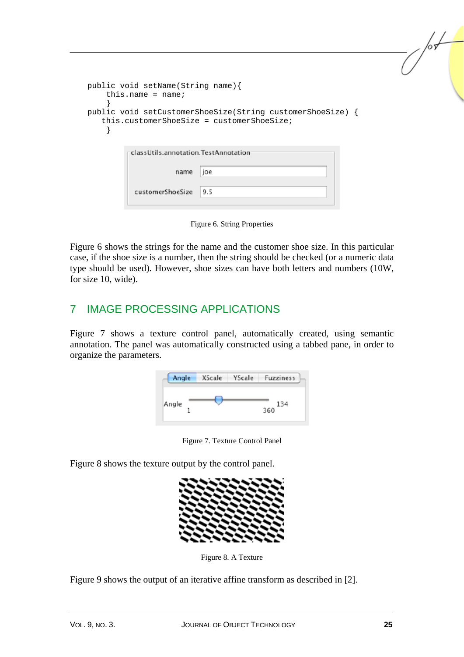```
public void setName(String name){ 
    this.name = name;
 } 
public void setCustomerShoeSize(String customerShoeSize) { 
    this.customerShoeSize = customerShoeSize; 
     } 
          classUtils.annotation.TestAnnotation
                     name
                           lioe
           customerShoeSize
                            9.5
```
Figure 6. String Properties

Figure 6 shows the strings for the name and the customer shoe size. In this particular case, if the shoe size is a number, then the string should be checked (or a numeric data type should be used). However, shoe sizes can have both letters and numbers (10W, for size 10, wide).

## 7 IMAGE PROCESSING APPLICATIONS

Figure 7 shows a texture control panel, automatically created, using semantic annotation. The panel was automatically constructed using a tabbed pane, in order to organize the parameters.





Figure 8 shows the texture output by the control panel.



Figure 8. A Texture

Figure 9 shows the output of an iterative affine transform as described in [2].

/sL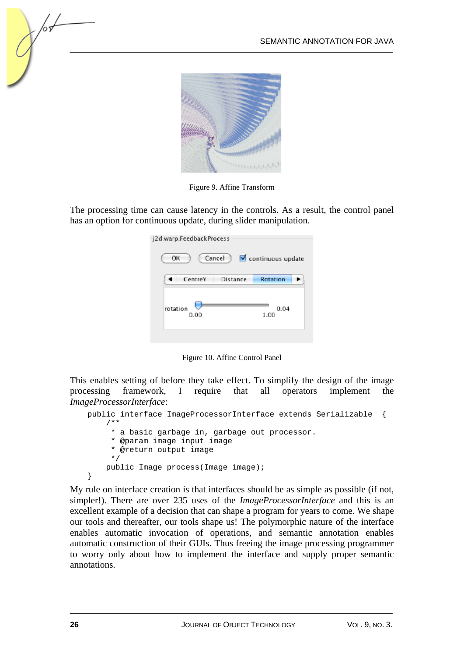

Figure 9. Affine Transform

The processing time can cause latency in the controls. As a result, the control panel has an option for continuous update, during slider manipulation.

| CentreY<br>Rotation<br>Distance<br>rotation<br>0.04<br>1.00<br>0.00 | j2d.warp.FeedbackProcess<br>OK | Cancel | continuous update |
|---------------------------------------------------------------------|--------------------------------|--------|-------------------|
|                                                                     |                                |        |                   |
|                                                                     |                                |        |                   |

Figure 10. Affine Control Panel

This enables setting of before they take effect. To simplify the design of the image processing framework, I require that all operators implement the *ImageProcessorInterface*:

```
public interface ImageProcessorInterface extends Serializable { 
     /** 
      * a basic garbage in, garbage out processor. 
      * @param image input image 
      * @return output image 
      */ 
     public Image process(Image image); 
}
```
My rule on interface creation is that interfaces should be as simple as possible (if not, simpler!). There are over 235 uses of the *ImageProcessorInterface* and this is an excellent example of a decision that can shape a program for years to come. We shape our tools and thereafter, our tools shape us! The polymorphic nature of the interface enables automatic invocation of operations, and semantic annotation enables automatic construction of their GUIs. Thus freeing the image processing programmer to worry only about how to implement the interface and supply proper semantic annotations.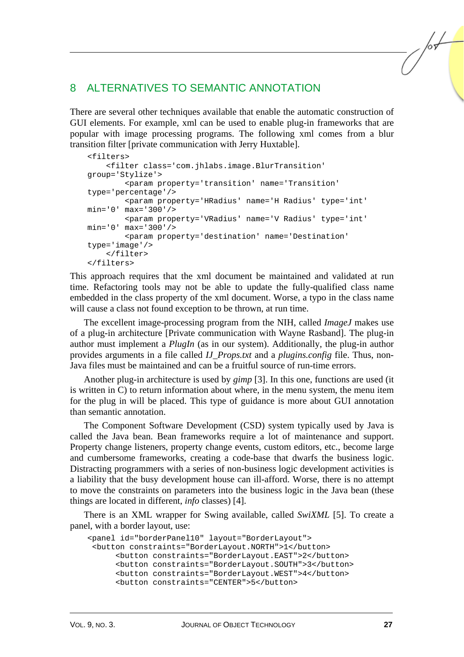## 8 ALTERNATIVES TO SEMANTIC ANNOTATION

There are several other techniques available that enable the automatic construction of GUI elements. For example, xml can be used to enable plug-in frameworks that are popular with image processing programs. The following xml comes from a blur transition filter [private communication with Jerry Huxtable].

```
<filters> 
     <filter class='com.jhlabs.image.BlurTransition' 
group='Stylize'> 
         <param property='transition' name='Transition' 
type='percentage'/> 
         <param property='HRadius' name='H Radius' type='int' 
min='0' max='300'/> 
         <param property='VRadius' name='V Radius' type='int' 
min='0' max='300'/> 
         <param property='destination' name='Destination' 
type='image'/> 
     </filter> 
</filters>
```
This approach requires that the xml document be maintained and validated at run time. Refactoring tools may not be able to update the fully-qualified class name embedded in the class property of the xml document. Worse, a typo in the class name will cause a class not found exception to be thrown, at run time.

The excellent image-processing program from the NIH, called *ImageJ* makes use of a plug-in architecture [Private communication with Wayne Rasband]. The plug-in author must implement a *PlugIn* (as in our system). Additionally, the plug-in author provides arguments in a file called *IJ\_Props.txt* and a *plugins.config* file. Thus, non-Java files must be maintained and can be a fruitful source of run-time errors.

Another plug-in architecture is used by *gimp* [3]. In this one, functions are used (it is written in C) to return information about where, in the menu system, the menu item for the plug in will be placed. This type of guidance is more about GUI annotation than semantic annotation.

The Component Software Development (CSD) system typically used by Java is called the Java bean. Bean frameworks require a lot of maintenance and support. Property change listeners, property change events, custom editors, etc., become large and cumbersome frameworks, creating a code-base that dwarfs the business logic. Distracting programmers with a series of non-business logic development activities is a liability that the busy development house can ill-afford. Worse, there is no attempt to move the constraints on parameters into the business logic in the Java bean (these things are located in different, *info* classes) [4].

There is an XML wrapper for Swing available, called *SwiXML* [5]. To create a panel, with a border layout, use:

```
<panel id="borderPanel10" layout="BorderLayout"> 
  <button constraints="BorderLayout.NORTH">1</button> 
       <button constraints="BorderLayout.EAST">2</button> 
       <button constraints="BorderLayout.SOUTH">3</button> 
       <button constraints="BorderLayout.WEST">4</button> 
       <button constraints="CENTER">5</button>
```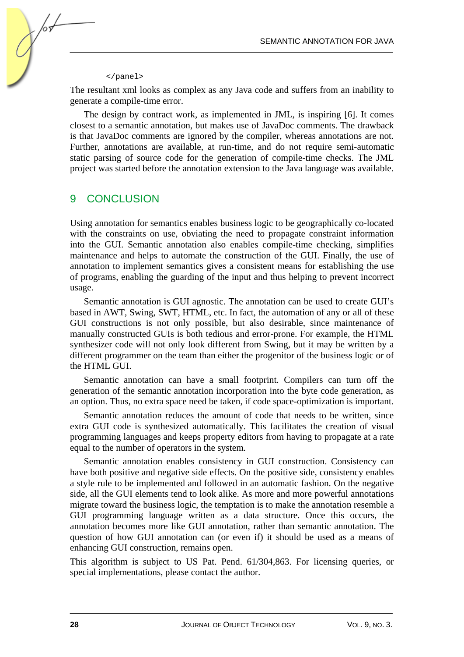#### </panel>

hч

The resultant xml looks as complex as any Java code and suffers from an inability to generate a compile-time error.

The design by contract work, as implemented in JML, is inspiring [6]. It comes closest to a semantic annotation, but makes use of JavaDoc comments. The drawback is that JavaDoc comments are ignored by the compiler, whereas annotations are not. Further, annotations are available, at run-time, and do not require semi-automatic static parsing of source code for the generation of compile-time checks. The JML project was started before the annotation extension to the Java language was available.

### 9 CONCLUSION

Using annotation for semantics enables business logic to be geographically co-located with the constraints on use, obviating the need to propagate constraint information into the GUI. Semantic annotation also enables compile-time checking, simplifies maintenance and helps to automate the construction of the GUI. Finally, the use of annotation to implement semantics gives a consistent means for establishing the use of programs, enabling the guarding of the input and thus helping to prevent incorrect usage.

Semantic annotation is GUI agnostic. The annotation can be used to create GUI's based in AWT, Swing, SWT, HTML, etc. In fact, the automation of any or all of these GUI constructions is not only possible, but also desirable, since maintenance of manually constructed GUIs is both tedious and error-prone. For example, the HTML synthesizer code will not only look different from Swing, but it may be written by a different programmer on the team than either the progenitor of the business logic or of the HTML GUI.

Semantic annotation can have a small footprint. Compilers can turn off the generation of the semantic annotation incorporation into the byte code generation, as an option. Thus, no extra space need be taken, if code space-optimization is important.

Semantic annotation reduces the amount of code that needs to be written, since extra GUI code is synthesized automatically. This facilitates the creation of visual programming languages and keeps property editors from having to propagate at a rate equal to the number of operators in the system.

Semantic annotation enables consistency in GUI construction. Consistency can have both positive and negative side effects. On the positive side, consistency enables a style rule to be implemented and followed in an automatic fashion. On the negative side, all the GUI elements tend to look alike. As more and more powerful annotations migrate toward the business logic, the temptation is to make the annotation resemble a GUI programming language written as a data structure. Once this occurs, the annotation becomes more like GUI annotation, rather than semantic annotation. The question of how GUI annotation can (or even if) it should be used as a means of enhancing GUI construction, remains open.

This algorithm is subject to US Pat. Pend. 61/304,863. For licensing queries, or special implementations, please contact the author.